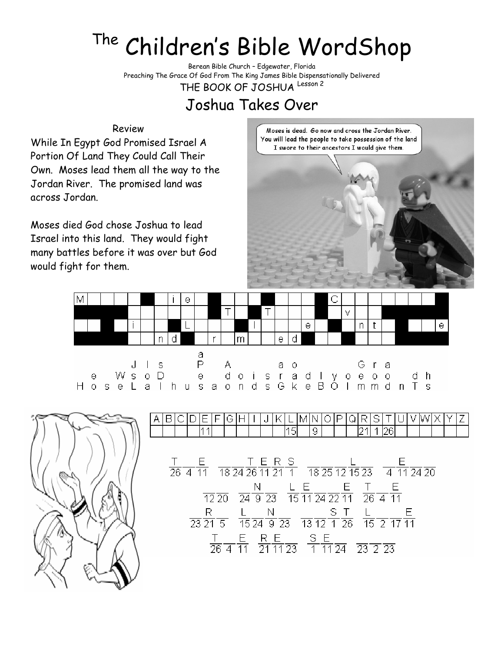## The Children's Bible WordShop

Berean Bible Church – Edgewater, Florida Preaching The Grace Of God From The King James Bible Dispensationally Delivered THE BOOK OF JOSHUA Lesson 2

## Joshua Takes Over

## Review

While In Egypt God Promised Israel A Portion Of Land They Could Call Their Own. Moses lead them all the way to the Jordan River. The promised land was across Jordan.

Moses died God chose Joshua to lead Israel into this land. They would fight many battles before it was over but God would fight for them.

Moses is dead. Go now and cross the Jordan River. You will lead the people to take possession of the land I swore to their ancestors I would give them.







в Ε G IН Κ l Imin  $\overline{15}$  $\overline{9}$  $\frac{T}{26}$   $\frac{E}{4}$   $\frac{F}{10}$   $\frac{T}{26}$   $\frac{T}{4}$   $\frac{T}{18}$   $\frac{T}{24}$   $\frac{E}{26}$   $\frac{R}{12}$   $\frac{S}{12}$   $\frac{T}{12}$   $\frac{F}{12}$   $\frac{S}{12}$   $\frac{S}{12}$   $\frac{T}{12}$   $\frac{S}{12}$   $\frac{S}{12}$  $\frac{N}{12\,20}$   $\frac{N}{24\,9\,23}$   $\frac{L}{15\,11\,24\,22\,11}$   $\frac{E}{26\,4\,11}$  $\frac{R}{23\ 21\ 5}$   $\frac{L}{15\ 24\ 9\ 23}$   $\frac{S}{13\ 12\ 1\ 26}$   $\frac{L}{15\ 2\ 17\ 11}$  $\frac{T}{264}$   $\frac{E}{11}$   $\frac{R}{21}$   $\frac{E}{11}$   $\frac{S}{11}$   $\frac{E}{11}$   $\frac{E}{23}$   $\frac{S}{23}$   $\frac{E}{23}$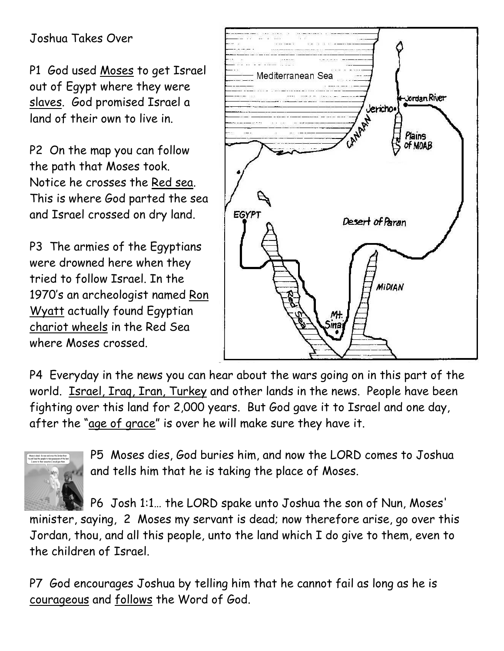## Joshua Takes Over

P1 God used Moses to get Israel out of Egypt where they were slaves. God promised Israel a land of their own to live in.

P2 On the map you can follow the path that Moses took. Notice he crosses the Red sea. This is where God parted the sea and Israel crossed on dry land.

P3 The armies of the Egyptians were drowned here when they tried to follow Israel. In the 1970's an archeologist named Ron Wyatt actually found Egyptian chariot wheels in the Red Sea where Moses crossed.



P4 Everyday in the news you can hear about the wars going on in this part of the world. **Israel, Iraq, Iran, Turkey and other lands in the news.** People have been fighting over this land for 2,000 years. But God gave it to Israel and one day, after the "age of grace" is over he will make sure they have it.



P5 Moses dies, God buries him, and now the LORD comes to Joshua and tells him that he is taking the place of Moses.

P6 Josh 1:1… the LORD spake unto Joshua the son of Nun, Moses' minister, saying, 2 Moses my servant is dead; now therefore arise, go over this Jordan, thou, and all this people, unto the land which I do give to them, even to the children of Israel.

P7 God encourages Joshua by telling him that he cannot fail as long as he is courageous and follows the Word of God.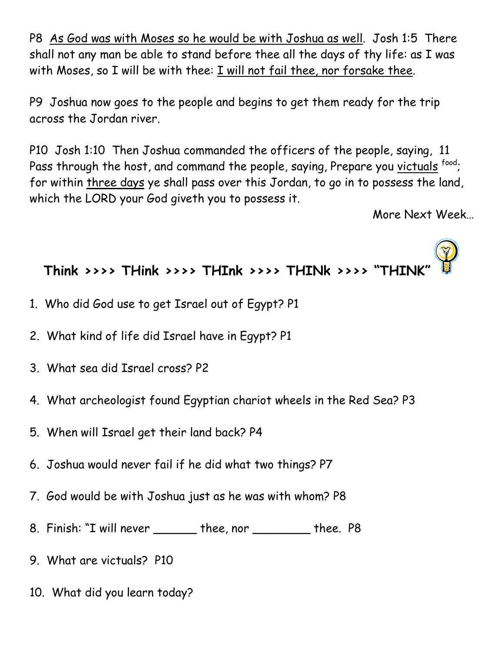P8 As God was with Moses so he would be with Joshua as well. Josh 1:5 There shall not any man be able to stand before thee all the days of thy life: as I was with Moses, so I will be with thee: I will not fail thee, nor forsake thee.

P9 Joshua now goes to the people and begins to get them ready for the trip across the Jordan river.

P10 Josh 1:10 Then Joshua commanded the officers of the people, saying, 11 Pass through the host, and command the people, saying, Prepare you victuals food; for within three days ye shall pass over this Jordan, to go in to possess the land, which the LORD your God giveth you to possess it.

More Next Week…



- 1. Who did God use to get Israel out of Egypt? P1
- 2. What kind of life did Israel have in Egypt? P1
- 3. What sea did Israel cross? P2
- 4. What archeologist found Egyptian chariot wheels in the Red Sea? P3
- 5. When will Israel get their land back? P4
- 6. Joshua would never fail if he did what two things? P7
- 7. God would be with Joshua just as he was with whom? P8
- 8. Finish: "I will never \_\_\_\_\_\_ thee, nor \_\_\_\_\_\_\_\_ thee. P8
- 9. What are victuals? P10
- 10. What did you learn today?